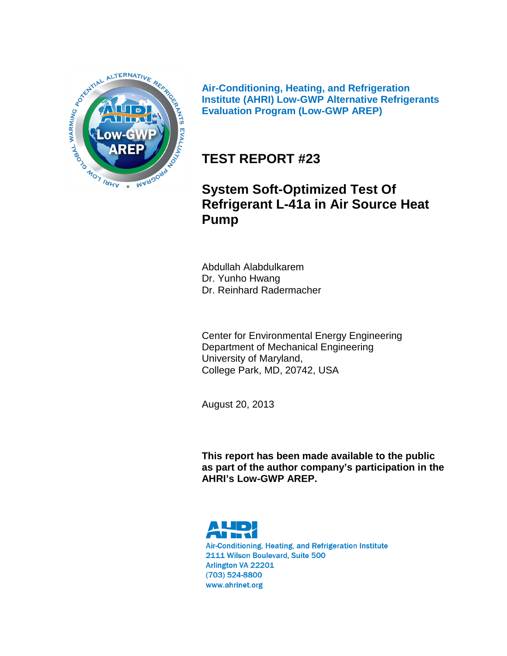

**Air-Conditioning, Heating, and Refrigeration Institute (AHRI) Low-GWP Alternative Refrigerants Evaluation Program (Low-GWP AREP)**

# **TEST REPORT #23**

# **System Soft-Optimized Test Of Refrigerant L-41a in Air Source Heat Pump**

Abdullah Alabdulkarem Dr. Yunho Hwang Dr. Reinhard Radermacher

Center for Environmental Energy Engineering Department of Mechanical Engineering University of Maryland, College Park, MD, 20742, USA

August 20, 2013

**This report has been made available to the public as part of the author company's participation in the AHRI's Low-GWP AREP.**



Air-Conditioning, Heating, and Refrigeration Institute 2111 Wilson Boulevard, Suite 500 Arlington VA 22201 (703) 524-8800 www.ahrinet.org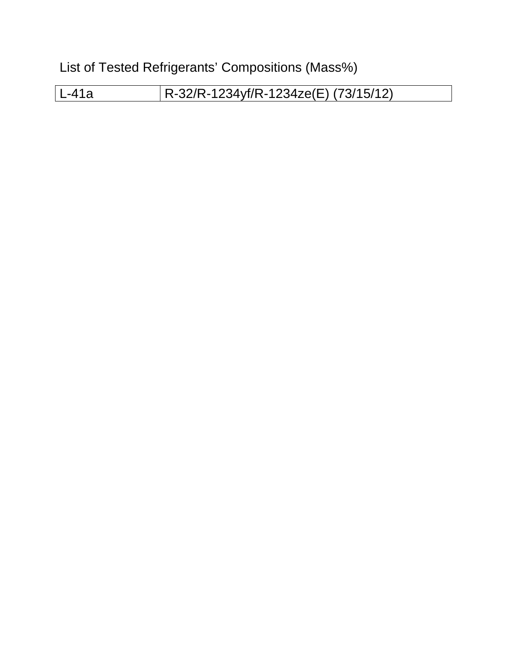List of Tested Refrigerants' Compositions (Mass%)

L-41a R-32/R-1234yf/R-1234ze(E) (73/15/12)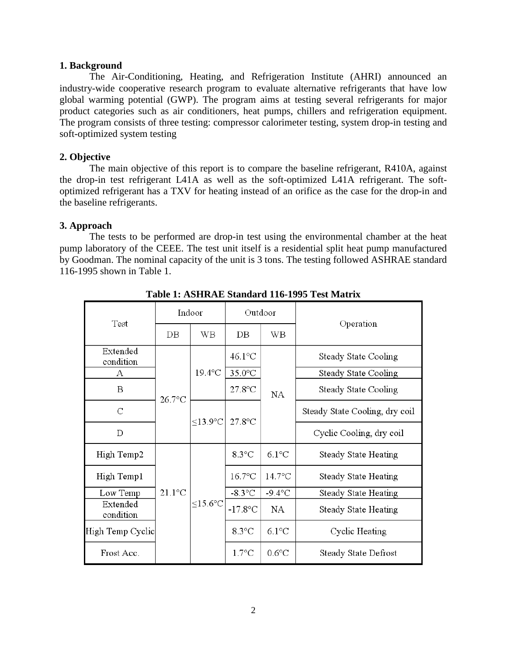# **1. Background**

The Air-Conditioning, Heating, and Refrigeration Institute (AHRI) announced an industry-wide cooperative research program to evaluate alternative refrigerants that have low global warming potential (GWP). The program aims at testing several refrigerants for major product categories such as air conditioners, heat pumps, chillers and refrigeration equipment. The program consists of three testing: compressor calorimeter testing, system drop-in testing and soft-optimized system testing

# **2. Objective**

The main objective of this report is to compare the baseline refrigerant, R410A, against the drop-in test refrigerant L41A as well as the soft-optimized L41A refrigerant. The softoptimized refrigerant has a TXV for heating instead of an orifice as the case for the drop-in and the baseline refrigerants.

# **3. Approach**

The tests to be performed are drop-in test using the environmental chamber at the heat pump laboratory of the CEEE. The test unit itself is a residential split heat pump manufactured by Goodman. The nominal capacity of the unit is 3 tons. The testing followed ASHRAE standard 116-1995 shown in Table 1.

|                       |           | Indoor               | Outdoor         |                 |                                |                      |
|-----------------------|-----------|----------------------|-----------------|-----------------|--------------------------------|----------------------|
| Test                  | DВ        | WВ                   | $DB$            | WB              | Operation                      |                      |
| Extended<br>condition |           |                      | 46.1°C          |                 | Steady State Cooling           |                      |
| А                     |           | $19.4$ °C            | $35.0$ °C       |                 | Steady State Cooling           |                      |
| B                     | $26.7$ °C |                      | $27.8$ °C       | <b>NA</b>       | Steady State Cooling           |                      |
| $\mathsf C$           |           | $<$ 13.9 $\degree$ C | $27.8$ °C       |                 | Steady State Cooling, dry coil |                      |
| D                     |           |                      |                 |                 | Cyclic Cooling, dry coil       |                      |
| High Temp2            |           |                      | $8.3^{\circ}$ C | $6.1^{\circ}$ C | Steady State Heating           |                      |
| High Temp1            |           |                      |                 | $16.7$ °C       | $14.7^{\circ}$ C               | Steady State Heating |
| Low Temp              | $21.1$ °C |                      | $-8.3$ °C       | $-9.4$ °C       | Steady State Heating           |                      |
| Extended<br>condition |           | ≤15.6 $°C$           | $-17.8$ °C      | <b>NA</b>       | Steady State Heating           |                      |
| High Temp Cyclic      |           |                      | $8.3^{\circ}$ C | $6.1^{\circ}$ C | Cyclic Heating                 |                      |
| Frost Acc.            |           |                      | $1.7^{\circ}$ C | $0.6^{\circ}$ C | Steady State Defrost           |                      |

**Table 1: ASHRAE Standard 116-1995 Test Matrix**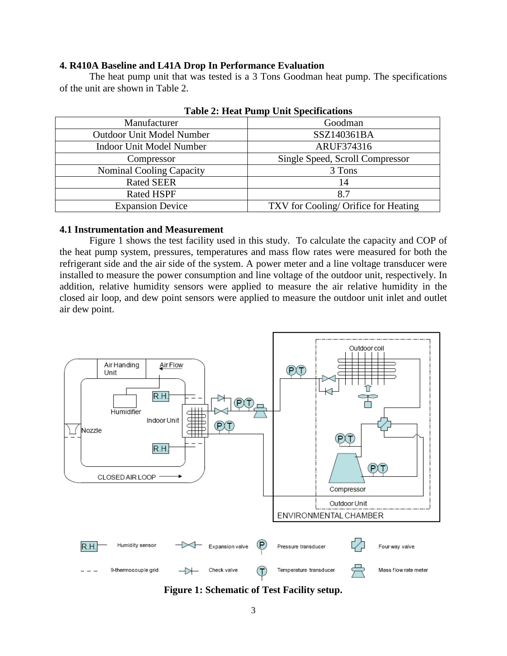### **4. R410A Baseline and L41A Drop In Performance Evaluation**

The heat pump unit that was tested is a 3 Tons Goodman heat pump. The specifications of the unit are shown in Table 2.

|                                  | $1$ avit $2$ , fitat I unip Unit Specifications |
|----------------------------------|-------------------------------------------------|
| Manufacturer                     | Goodman                                         |
| <b>Outdoor Unit Model Number</b> | SSZ140361BA                                     |
| <b>Indoor Unit Model Number</b>  | ARUF374316                                      |
| Compressor                       | Single Speed, Scroll Compressor                 |
| <b>Nominal Cooling Capacity</b>  | 3 Tons                                          |
| <b>Rated SEER</b>                | 14                                              |
| <b>Rated HSPF</b>                | 8.7                                             |
| <b>Expansion Device</b>          | TXV for Cooling/ Orifice for Heating            |

|  |  |  |  | <b>Table 2: Heat Pump Unit Specifications</b> |
|--|--|--|--|-----------------------------------------------|
|--|--|--|--|-----------------------------------------------|

#### **4.1 Instrumentation and Measurement**

Figure 1 shows the test facility used in this study. To calculate the capacity and COP of the heat pump system, pressures, temperatures and mass flow rates were measured for both the refrigerant side and the air side of the system. A power meter and a line voltage transducer were installed to measure the power consumption and line voltage of the outdoor unit, respectively. In addition, relative humidity sensors were applied to measure the air relative humidity in the closed air loop, and dew point sensors were applied to measure the outdoor unit inlet and outlet air dew point.



**Figure 1: Schematic of Test Facility setup.**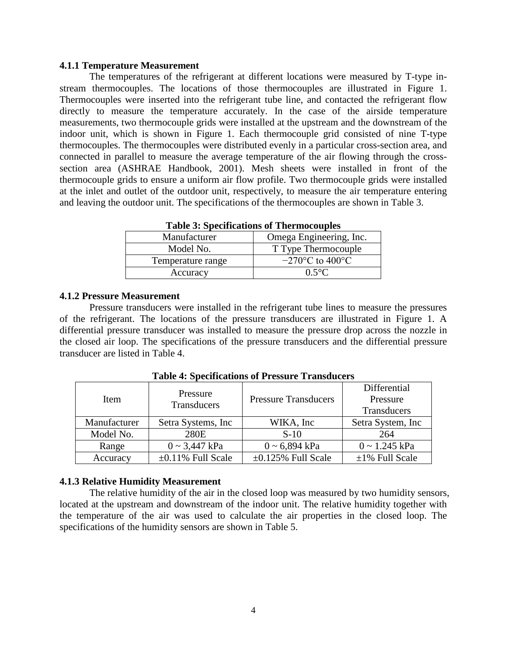#### **4.1.1 Temperature Measurement**

The temperatures of the refrigerant at different locations were measured by T-type instream thermocouples. The locations of those thermocouples are illustrated in Figure 1. Thermocouples were inserted into the refrigerant tube line, and contacted the refrigerant flow directly to measure the temperature accurately. In the case of the airside temperature measurements, two thermocouple grids were installed at the upstream and the downstream of the indoor unit, which is shown in Figure 1. Each thermocouple grid consisted of nine T-type thermocouples. The thermocouples were distributed evenly in a particular cross-section area, and connected in parallel to measure the average temperature of the air flowing through the crosssection area (ASHRAE Handbook, 2001). Mesh sheets were installed in front of the thermocouple grids to ensure a uniform air flow profile. Two thermocouple grids were installed at the inlet and outlet of the outdoor unit, respectively, to measure the air temperature entering and leaving the outdoor unit. The specifications of the thermocouples are shown in Table 3.

|                   | <b>Table 5: Specifications of Thermocouples</b> |
|-------------------|-------------------------------------------------|
| Manufacturer      | Omega Engineering, Inc.                         |
| Model No.         | T Type Thermocouple                             |
| Temperature range | $-270$ °C to 400°C                              |
| Accuracy          | $0.5^{\circ}$ C                                 |

**Table 3: Specifications of Thermocouples**

### **4.1.2 Pressure Measurement**

Pressure transducers were installed in the refrigerant tube lines to measure the pressures of the refrigerant. The locations of the pressure transducers are illustrated in Figure 1. A differential pressure transducer was installed to measure the pressure drop across the nozzle in the closed air loop. The specifications of the pressure transducers and the differential pressure transducer are listed in Table 4.

| Item         | Pressure                |                             | Differential         |  |  |  |  |  |  |
|--------------|-------------------------|-----------------------------|----------------------|--|--|--|--|--|--|
|              | Transducers             | <b>Pressure Transducers</b> | Pressure             |  |  |  |  |  |  |
|              |                         |                             | Transducers          |  |  |  |  |  |  |
| Manufacturer | Setra Systems, Inc.     | WIKA, Inc.                  | Setra System, Inc.   |  |  |  |  |  |  |
| Model No.    | 280E                    | $S-10$                      | 264                  |  |  |  |  |  |  |
| Range        | $0 \sim 3,447$ kPa      | $0 \sim 6,894$ kPa          | $0 \sim 1.245$ kPa   |  |  |  |  |  |  |
| Accuracy     | $\pm 0.11\%$ Full Scale | $\pm 0.125\%$ Full Scale    | $\pm 1\%$ Full Scale |  |  |  |  |  |  |

**Table 4: Specifications of Pressure Transducers**

#### **4.1.3 Relative Humidity Measurement**

The relative humidity of the air in the closed loop was measured by two humidity sensors, located at the upstream and downstream of the indoor unit. The relative humidity together with the temperature of the air was used to calculate the air properties in the closed loop. The specifications of the humidity sensors are shown in Table 5.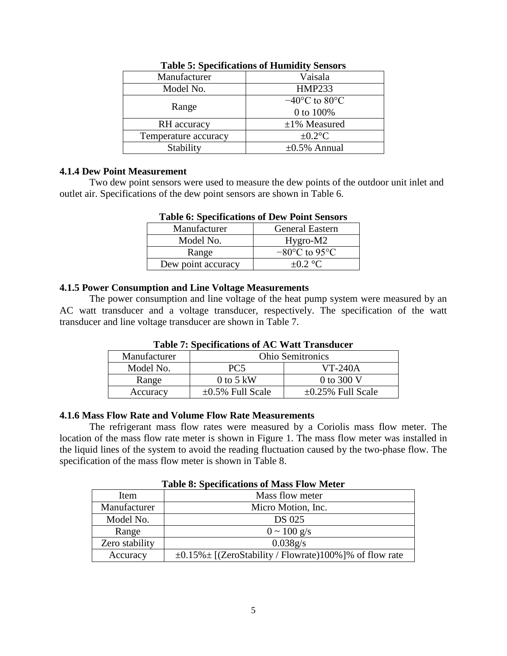| Manufacturer         | Vaisala                                         |
|----------------------|-------------------------------------------------|
| Model No.            | <b>HMP233</b>                                   |
| Range                | $-40^{\circ}$ C to 80 $^{\circ}$ C<br>0 to 100% |
| RH accuracy          | $\pm 1\%$ Measured                              |
| Temperature accuracy | $\pm 0.2$ °C                                    |
| Stability            | $\pm 0.5\%$ Annual                              |

# **Table 5: Specifications of Humidity Sensors**

### **4.1.4 Dew Point Measurement**

Two dew point sensors were used to measure the dew points of the outdoor unit inlet and outlet air. Specifications of the dew point sensors are shown in Table 6.

|                    | Tuble of Decemental of Devil Tome Densols |
|--------------------|-------------------------------------------|
| Manufacturer       | <b>General Eastern</b>                    |
| Model No.          | Hygro-M2                                  |
| Range              | $-80^{\circ}$ C to 95 $^{\circ}$ C        |
| Dew point accuracy | $+0.2$ °C                                 |

# **Table 6: Specifications of Dew Point Sensors**

### **4.1.5 Power Consumption and Line Voltage Measurements**

The power consumption and line voltage of the heat pump system were measured by an AC watt transducer and a voltage transducer, respectively. The specification of the watt transducer and line voltage transducer are shown in Table 7.

| Manufacturer | <b>Ohio Semitronics</b> |                         |  |  |  |  |
|--------------|-------------------------|-------------------------|--|--|--|--|
| Model No.    | PC5                     | $VT-240A$               |  |  |  |  |
| Range        | $0$ to 5 kW             | 0 to 300 V              |  |  |  |  |
| Accuracy     | $\pm 0.5\%$ Full Scale  | $\pm 0.25\%$ Full Scale |  |  |  |  |

# **Table 7: Specifications of AC Watt Transducer**

### **4.1.6 Mass Flow Rate and Volume Flow Rate Measurements**

The refrigerant mass flow rates were measured by a Coriolis mass flow meter. The location of the mass flow rate meter is shown in Figure 1. The mass flow meter was installed in the liquid lines of the system to avoid the reading fluctuation caused by the two-phase flow. The specification of the mass flow meter is shown in Table 8.

### **Table 8: Specifications of Mass Flow Meter**

| Item           | Mass flow meter                                                 |
|----------------|-----------------------------------------------------------------|
| Manufacturer   | Micro Motion, Inc.                                              |
| Model No.      | DS 025                                                          |
| Range          | $0 \sim 100 \text{ g/s}$                                        |
| Zero stability | 0.038g/s                                                        |
| Accuracy       | $\pm 0.15\% \pm$ [(ZeroStability / Flowrate)100%]% of flow rate |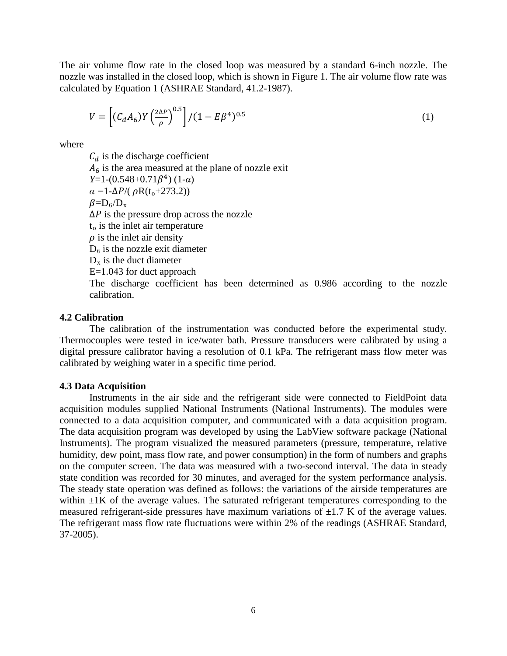The air volume flow rate in the closed loop was measured by a standard 6-inch nozzle. The nozzle was installed in the closed loop, which is shown in Figure 1. The air volume flow rate was calculated by Equation 1 (ASHRAE Standard, 41.2-1987).

$$
V = \left[ (C_d A_6) Y \left( \frac{2\Delta P}{\rho} \right)^{0.5} \right] / (1 - E\beta^4)^{0.5}
$$
 (1)

where

 $C_d$  is the discharge coefficient  $A<sub>6</sub>$  is the area measured at the plane of nozzle exit *Y*=1-(0.548+0.71β<sup>4</sup>) (1-*α*)  $\alpha = 1 - \Delta P / (\rho R(t_0 + 273.2))$  $\beta = D_6/D_{\rm x}$  $\Delta P$  is the pressure drop across the nozzle  $t<sub>o</sub>$  is the inlet air temperature  $\rho$  is the inlet air density  $D<sub>6</sub>$  is the nozzle exit diameter  $D_x$  is the duct diameter E=1.043 for duct approach The discharge coefficient has been determined as 0.986 according to the nozzle calibration.

#### **4.2 Calibration**

The calibration of the instrumentation was conducted before the experimental study. Thermocouples were tested in ice/water bath. Pressure transducers were calibrated by using a digital pressure calibrator having a resolution of 0.1 kPa. The refrigerant mass flow meter was calibrated by weighing water in a specific time period.

#### **4.3 Data Acquisition**

Instruments in the air side and the refrigerant side were connected to FieldPoint data acquisition modules supplied National Instruments (National Instruments). The modules were connected to a data acquisition computer, and communicated with a data acquisition program. The data acquisition program was developed by using the LabView software package (National Instruments). The program visualized the measured parameters (pressure, temperature, relative humidity, dew point, mass flow rate, and power consumption) in the form of numbers and graphs on the computer screen. The data was measured with a two-second interval. The data in steady state condition was recorded for 30 minutes, and averaged for the system performance analysis. The steady state operation was defined as follows: the variations of the airside temperatures are within  $\pm 1$ K of the average values. The saturated refrigerant temperatures corresponding to the measured refrigerant-side pressures have maximum variations of  $\pm$ 1.7 K of the average values. The refrigerant mass flow rate fluctuations were within 2% of the readings (ASHRAE Standard, 37-2005).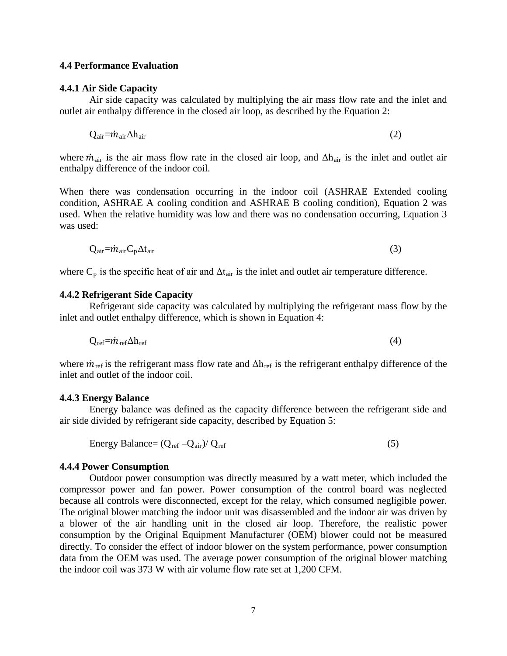#### **4.4 Performance Evaluation**

#### **4.4.1 Air Side Capacity**

Air side capacity was calculated by multiplying the air mass flow rate and the inlet and outlet air enthalpy difference in the closed air loop, as described by the Equation 2:

$$
Q_{\text{air}} = \dot{m}_{\text{air}} \Delta h_{\text{air}} \tag{2}
$$

where  $\dot{m}_{air}$  is the air mass flow rate in the closed air loop, and  $\Delta h_{air}$  is the inlet and outlet air enthalpy difference of the indoor coil.

When there was condensation occurring in the indoor coil (ASHRAE Extended cooling condition, ASHRAE A cooling condition and ASHRAE B cooling condition), Equation 2 was used. When the relative humidity was low and there was no condensation occurring, Equation 3 was used:

$$
Q_{\text{air}} = \dot{m}_{\text{air}} C_p \Delta t_{\text{air}} \tag{3}
$$

where  $C_p$  is the specific heat of air and  $\Delta t_{\text{air}}$  is the inlet and outlet air temperature difference.

#### **4.4.2 Refrigerant Side Capacity**

Refrigerant side capacity was calculated by multiplying the refrigerant mass flow by the inlet and outlet enthalpy difference, which is shown in Equation 4:

$$
Q_{ref} = \dot{m}_{ref} \Delta h_{ref} \tag{4}
$$

where  $\dot{m}_{\text{ref}}$  is the refrigerant mass flow rate and  $\Delta h_{\text{ref}}$  is the refrigerant enthalpy difference of the inlet and outlet of the indoor coil.

#### **4.4.3 Energy Balance**

Energy balance was defined as the capacity difference between the refrigerant side and air side divided by refrigerant side capacity, described by Equation 5:

Energy Balance = 
$$
(Q_{ref} - Q_{air})/Q_{ref}
$$
 (5)

#### **4.4.4 Power Consumption**

Outdoor power consumption was directly measured by a watt meter, which included the compressor power and fan power. Power consumption of the control board was neglected because all controls were disconnected, except for the relay, which consumed negligible power. The original blower matching the indoor unit was disassembled and the indoor air was driven by a blower of the air handling unit in the closed air loop. Therefore, the realistic power consumption by the Original Equipment Manufacturer (OEM) blower could not be measured directly. To consider the effect of indoor blower on the system performance, power consumption data from the OEM was used. The average power consumption of the original blower matching the indoor coil was 373 W with air volume flow rate set at 1,200 CFM.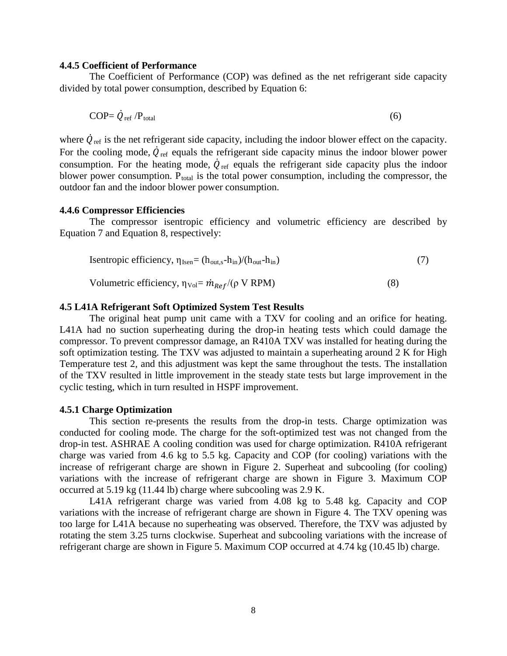# **4.4.5 Coefficient of Performance**

The Coefficient of Performance (COP) was defined as the net refrigerant side capacity divided by total power consumption, described by Equation 6:

$$
COP = \dot{Q}_{\text{ref}} / P_{\text{total}} \tag{6}
$$

where  $\dot{Q}_{\text{ref}}$  is the net refrigerant side capacity, including the indoor blower effect on the capacity. For the cooling mode,  $\dot{Q}_{\text{ref}}$  equals the refrigerant side capacity minus the indoor blower power consumption. For the heating mode,  $\dot{Q}_{\text{ref}}$  equals the refrigerant side capacity plus the indoor blower power consumption.  $P_{total}$  is the total power consumption, including the compressor, the outdoor fan and the indoor blower power consumption.

#### **4.4.6 Compressor Efficiencies**

The compressor isentropic efficiency and volumetric efficiency are described by Equation 7 and Equation 8, respectively:

Isentropic efficiency, 
$$
\eta_{\text{Isen}} = (h_{\text{out,s}} - h_{\text{in}})/(h_{\text{out}} - h_{\text{in}})
$$
 (7)

Volumetric efficiency,  $\eta_{\text{Vol}} = \dot{m}_{\text{Ref}} / (\rho \text{ V RPM})$  (8)

# **4.5 L41A Refrigerant Soft Optimized System Test Results**

The original heat pump unit came with a TXV for cooling and an orifice for heating. L41A had no suction superheating during the drop-in heating tests which could damage the compressor. To prevent compressor damage, an R410A TXV was installed for heating during the soft optimization testing. The TXV was adjusted to maintain a superheating around 2 K for High Temperature test 2, and this adjustment was kept the same throughout the tests. The installation of the TXV resulted in little improvement in the steady state tests but large improvement in the cyclic testing, which in turn resulted in HSPF improvement.

#### **4.5.1 Charge Optimization**

This section re-presents the results from the drop-in tests. Charge optimization was conducted for cooling mode. The charge for the soft-optimized test was not changed from the drop-in test. ASHRAE A cooling condition was used for charge optimization. R410A refrigerant charge was varied from 4.6 kg to 5.5 kg. Capacity and COP (for cooling) variations with the increase of refrigerant charge are shown in Figure 2. Superheat and subcooling (for cooling) variations with the increase of refrigerant charge are shown in Figure 3. Maximum COP occurred at 5.19 kg (11.44 lb) charge where subcooling was 2.9 K.

L41A refrigerant charge was varied from 4.08 kg to 5.48 kg. Capacity and COP variations with the increase of refrigerant charge are shown in Figure 4. The TXV opening was too large for L41A because no superheating was observed. Therefore, the TXV was adjusted by rotating the stem 3.25 turns clockwise. Superheat and subcooling variations with the increase of refrigerant charge are shown in Figure 5. Maximum COP occurred at 4.74 kg (10.45 lb) charge.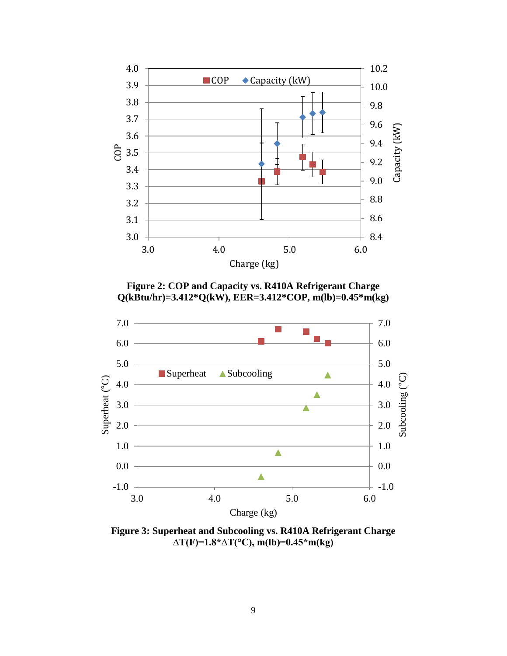

**Figure 2: COP and Capacity vs. R410A Refrigerant Charge Q(kBtu/hr)=3.412\*Q(kW), EER=3.412\*COP, m(lb)=0.45\*m(kg)**



**Figure 3: Superheat and Subcooling vs. R410A Refrigerant Charge ∆T(F)=1.8\*∆T(°C), m(lb)=0.45\*m(kg)**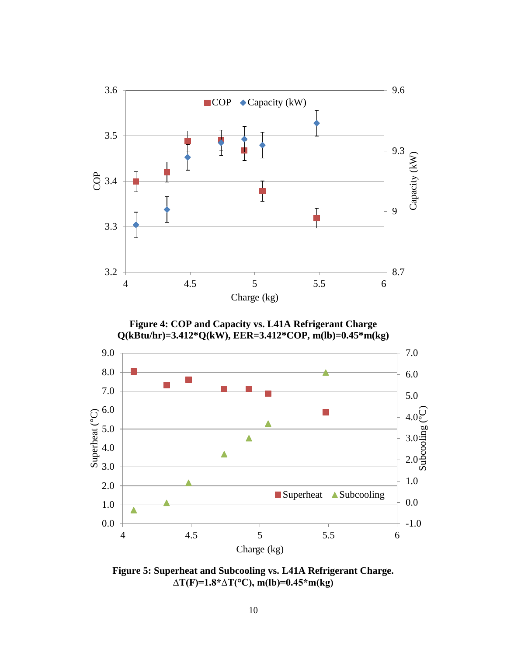

**Figure 5: Superheat and Subcooling vs. L41A Refrigerant Charge. ∆T(F)=1.8\*∆T(°C), m(lb)=0.45\*m(kg)**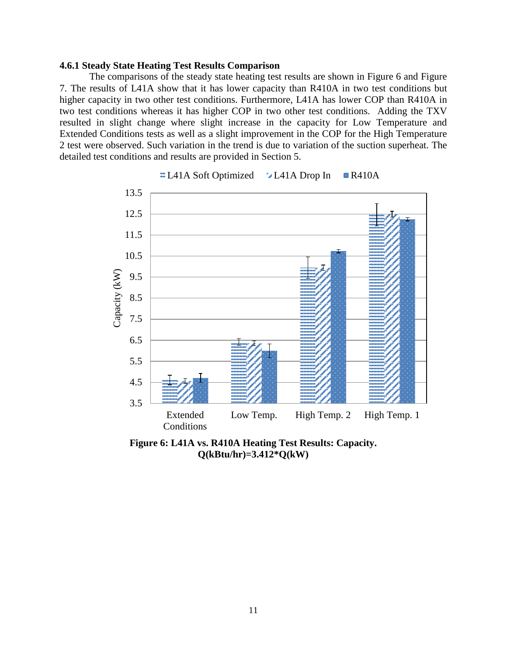### **4.6.1 Steady State Heating Test Results Comparison**

The comparisons of the steady state heating test results are shown in Figure 6 and Figure 7. The results of L41A show that it has lower capacity than R410A in two test conditions but higher capacity in two other test conditions. Furthermore, L41A has lower COP than R410A in two test conditions whereas it has higher COP in two other test conditions. Adding the TXV resulted in slight change where slight increase in the capacity for Low Temperature and Extended Conditions tests as well as a slight improvement in the COP for the High Temperature 2 test were observed. Such variation in the trend is due to variation of the suction superheat. The detailed test conditions and results are provided in Section 5.



 $\blacksquare$ L41A Soft Optimized  $\blacksquare$ L41A Drop In  $\blacksquare$ R410A

**Figure 6: L41A vs. R410A Heating Test Results: Capacity. Q(kBtu/hr)=3.412\*Q(kW)**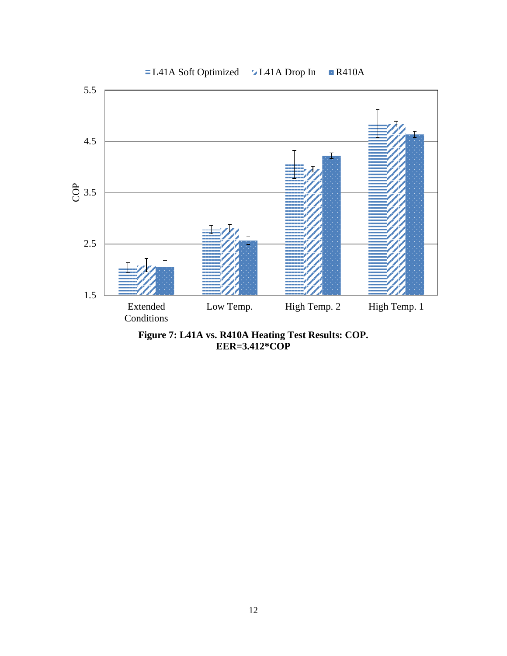

**Figure 7: L41A vs. R410A Heating Test Results: COP. EER=3.412\*COP**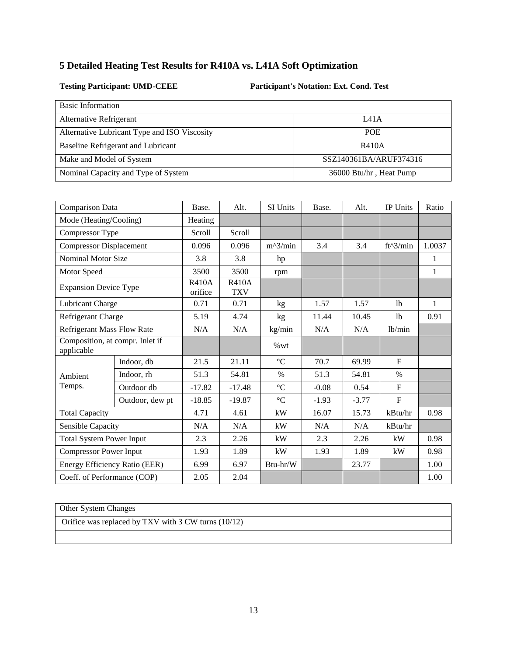# **5 Detailed Heating Test Results for R410A vs. L41A Soft Optimization**

**Testing Participant: UMD-CEEE Participant's Notation: Ext. Cond. Test**

| <b>Basic Information</b>                     |                         |
|----------------------------------------------|-------------------------|
| Alternative Refrigerant                      | <b>I</b> 41A            |
| Alternative Lubricant Type and ISO Viscosity | <b>POE</b>              |
| Baseline Refrigerant and Lubricant           | R410A                   |
| Make and Model of System                     | SSZ140361BA/ARUF374316  |
| Nominal Capacity and Type of System          | 36000 Btu/hr, Heat Pump |

| Comparison Data                               |                 | Base.                   | Alt.                       | SI Units        | Base.   | Alt.    | <b>IP Units</b>     | Ratio        |
|-----------------------------------------------|-----------------|-------------------------|----------------------------|-----------------|---------|---------|---------------------|--------------|
| Mode (Heating/Cooling)                        |                 | Heating                 |                            |                 |         |         |                     |              |
| Compressor Type                               |                 | Scroll                  | Scroll                     |                 |         |         |                     |              |
| <b>Compressor Displacement</b>                |                 | 0.096                   | 0.096                      | $m^2/$ min      | 3.4     | 3.4     | $ft^3/min$          | 1.0037       |
| <b>Nominal Motor Size</b>                     |                 | 3.8                     | 3.8                        | hp              |         |         |                     | 1            |
| Motor Speed                                   |                 | 3500                    | 3500                       | rpm             |         |         |                     | $\mathbf{1}$ |
| <b>Expansion Device Type</b>                  |                 | <b>R410A</b><br>orifice | <b>R410A</b><br><b>TXV</b> |                 |         |         |                     |              |
| Lubricant Charge                              |                 | 0.71                    | 0.71                       | kg              | 1.57    | 1.57    | 1 <sub>b</sub>      | $\mathbf{1}$ |
| Refrigerant Charge                            |                 | 5.19                    | 4.74                       | kg              | 11.44   | 10.45   | 1 <sub>b</sub>      | 0.91         |
| <b>Refrigerant Mass Flow Rate</b>             |                 | N/A                     | N/A                        | kg/min          | N/A     | N/A     | 1 <sub>b</sub> /min |              |
| Composition, at compr. Inlet if<br>applicable |                 |                         |                            | %wt             |         |         |                     |              |
|                                               | Indoor, db      | 21.5                    | 21.11                      | $\rm ^{\circ}C$ | 70.7    | 69.99   | $\mathbf{F}$        |              |
| Ambient                                       | Indoor, rh      | 51.3                    | 54.81                      | $\%$            | 51.3    | 54.81   | $\%$                |              |
| Temps.                                        | Outdoor db      | $-17.82$                | $-17.48$                   | $\rm ^{\circ}C$ | $-0.08$ | 0.54    | F                   |              |
|                                               | Outdoor, dew pt | $-18.85$                | $-19.87$                   | $\rm ^{\circ}C$ | $-1.93$ | $-3.77$ | $\mathbf{F}$        |              |
| <b>Total Capacity</b>                         |                 | 4.71                    | 4.61                       | kW              | 16.07   | 15.73   | kBtu/hr             | 0.98         |
| Sensible Capacity                             |                 | N/A                     | N/A                        | kW              | N/A     | N/A     | kBtu/hr             |              |
| <b>Total System Power Input</b>               |                 | 2.3                     | 2.26                       | kW              | 2.3     | 2.26    | kW                  | 0.98         |
| <b>Compressor Power Input</b>                 |                 | 1.93                    | 1.89                       | kW              | 1.93    | 1.89    | kW                  | 0.98         |
| Energy Efficiency Ratio (EER)                 |                 | 6.99                    | 6.97                       | Btu-hr/W        |         | 23.77   |                     | 1.00         |
| Coeff. of Performance (COP)                   |                 | 2.05                    | 2.04                       |                 |         |         |                     | 1.00         |

Other System Changes

Orifice was replaced by TXV with 3 CW turns (10/12)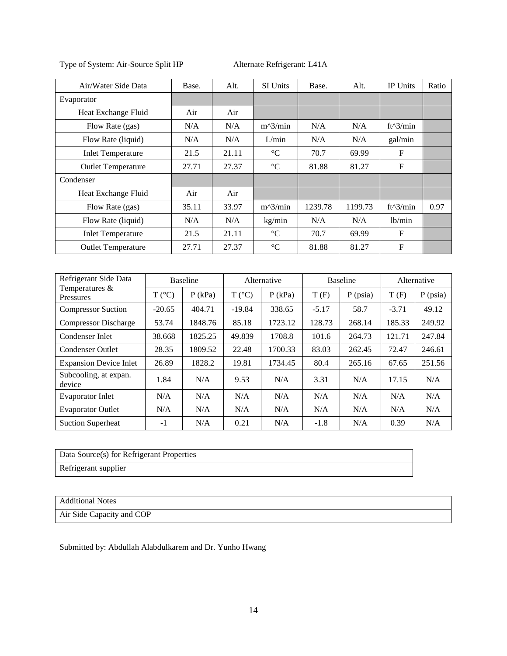| Air/Water Side Data       | Base. | Alt.  | <b>SI Units</b> | Base.   | Alt.    | <b>IP Units</b> | Ratio |
|---------------------------|-------|-------|-----------------|---------|---------|-----------------|-------|
| Evaporator                |       |       |                 |         |         |                 |       |
| Heat Exchange Fluid       | Air   | Air   |                 |         |         |                 |       |
| Flow Rate (gas)           | N/A   | N/A   | $m^2/$ min      | N/A     | N/A     | $ft^3/min$      |       |
| Flow Rate (liquid)        | N/A   | N/A   | L/min           | N/A     | N/A     | gal/min         |       |
| <b>Inlet Temperature</b>  | 21.5  | 21.11 | $\rm ^{\circ}C$ | 70.7    | 69.99   | F               |       |
| <b>Outlet Temperature</b> | 27.71 | 27.37 | $\rm ^{\circ}C$ | 81.88   | 81.27   | F               |       |
| Condenser                 |       |       |                 |         |         |                 |       |
| Heat Exchange Fluid       | Air   | Air   |                 |         |         |                 |       |
| Flow Rate (gas)           | 35.11 | 33.97 | $m^2/$ min      | 1239.78 | 1199.73 | ft^3/min        | 0.97  |
| Flow Rate (liquid)        | N/A   | N/A   | kg/min          | N/A     | N/A     | lb/min          |       |
| <b>Inlet Temperature</b>  | 21.5  | 21.11 | $\rm ^{\circ}C$ | 70.7    | 69.99   | F               |       |
| <b>Outlet Temperature</b> | 27.71 | 27.37 | $\rm ^{\circ}C$ | 81.88   | 81.27   | F               |       |

| Refrigerant Side Data              | <b>Baseline</b> |           |                 | Alternative |         | <b>Baseline</b> | Alternative |            |
|------------------------------------|-----------------|-----------|-----------------|-------------|---------|-----------------|-------------|------------|
| Temperatures &<br><b>Pressures</b> | $T (^{\circ}C)$ | $P$ (kPa) | $T (^{\circ}C)$ | $P$ (kPa)   | T(F)    | $P$ (psia)      | T(F)        | $P$ (psia) |
| <b>Compressor Suction</b>          | $-20.65$        | 404.71    | $-19.84$        | 338.65      | $-5.17$ | 58.7            | $-3.71$     | 49.12      |
| <b>Compressor Discharge</b>        | 53.74           | 1848.76   | 85.18           | 1723.12     | 128.73  | 268.14          | 185.33      | 249.92     |
| Condenser Inlet                    | 38.668          | 1825.25   | 49.839          | 1708.8      | 101.6   | 264.73          | 121.71      | 247.84     |
| <b>Condenser Outlet</b>            | 28.35           | 1809.52   | 22.48           | 1700.33     | 83.03   | 262.45          | 72.47       | 246.61     |
| <b>Expansion Device Inlet</b>      | 26.89           | 1828.2    | 19.81           | 1734.45     | 80.4    | 265.16          | 67.65       | 251.56     |
| Subcooling, at expan.<br>device    | 1.84            | N/A       | 9.53            | N/A         | 3.31    | N/A             | 17.15       | N/A        |
| <b>Evaporator Inlet</b>            | N/A             | N/A       | N/A             | N/A         | N/A     | N/A             | N/A         | N/A        |
| <b>Evaporator Outlet</b>           | N/A             | N/A       | N/A             | N/A         | N/A     | N/A             | N/A         | N/A        |
| <b>Suction Superheat</b>           | $-1$            | N/A       | 0.21            | N/A         | $-1.8$  | N/A             | 0.39        | N/A        |

| Data Source(s) for Refrigerant Properties |
|-------------------------------------------|
| Refrigerant supplier                      |

#### Additional Notes

Air Side Capacity and COP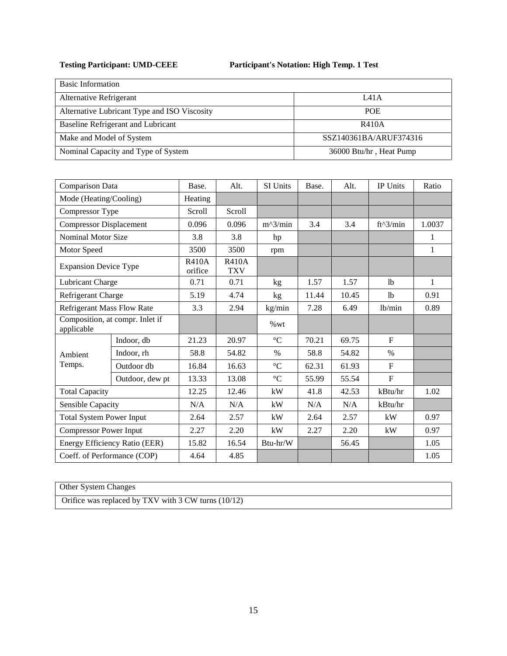| <b>Basic Information</b>                     |                         |
|----------------------------------------------|-------------------------|
| Alternative Refrigerant                      | L41A                    |
| Alternative Lubricant Type and ISO Viscosity | <b>POE</b>              |
| Baseline Refrigerant and Lubricant           | R410A                   |
| Make and Model of System                     | SSZ140361BA/ARUF374316  |
| Nominal Capacity and Type of System          | 36000 Btu/hr, Heat Pump |

| Comparison Data                               |                               | Base.                   | Alt.                       | SI Units        | Base. | Alt.  | IP Units       | Ratio  |
|-----------------------------------------------|-------------------------------|-------------------------|----------------------------|-----------------|-------|-------|----------------|--------|
| Mode (Heating/Cooling)                        |                               | Heating                 |                            |                 |       |       |                |        |
| Compressor Type                               |                               | Scroll                  | Scroll                     |                 |       |       |                |        |
| <b>Compressor Displacement</b>                |                               | 0.096                   | 0.096                      | $m^2/$ min      | 3.4   | 3.4   | $ft^3/min$     | 1.0037 |
| <b>Nominal Motor Size</b>                     |                               | 3.8                     | 3.8                        | hp              |       |       |                | 1      |
| Motor Speed                                   |                               | 3500                    | 3500                       | rpm             |       |       |                | 1      |
| <b>Expansion Device Type</b>                  |                               | <b>R410A</b><br>orifice | <b>R410A</b><br><b>TXV</b> |                 |       |       |                |        |
| Lubricant Charge                              |                               | 0.71                    | 0.71                       | kg              | 1.57  | 1.57  | 1 <sub>b</sub> | 1      |
| Refrigerant Charge                            |                               | 5.19                    | 4.74                       | kg              | 11.44 | 10.45 | <b>lb</b>      | 0.91   |
| <b>Refrigerant Mass Flow Rate</b>             |                               | 3.3                     | 2.94                       | kg/min          | 7.28  | 6.49  | lb/min         | 0.89   |
| Composition, at compr. Inlet if<br>applicable |                               |                         |                            | %wt             |       |       |                |        |
|                                               | Indoor, db                    | 21.23                   | 20.97                      | $\rm ^{\circ}C$ | 70.21 | 69.75 | $\mathbf F$    |        |
| Ambient                                       | Indoor, rh                    | 58.8                    | 54.82                      | $\%$            | 58.8  | 54.82 | $\%$           |        |
| Temps.                                        | Outdoor db                    | 16.84                   | 16.63                      | $\rm ^{\circ}C$ | 62.31 | 61.93 | F              |        |
|                                               | Outdoor, dew pt               | 13.33                   | 13.08                      | $\rm ^{\circ}C$ | 55.99 | 55.54 | $\mathbf F$    |        |
| <b>Total Capacity</b>                         |                               | 12.25                   | 12.46                      | kW              | 41.8  | 42.53 | kBtu/hr        | 1.02   |
| Sensible Capacity                             |                               | N/A                     | N/A                        | kW              | N/A   | N/A   | kBtu/hr        |        |
| <b>Total System Power Input</b>               |                               | 2.64                    | 2.57                       | kW              | 2.64  | 2.57  | kW             | 0.97   |
| <b>Compressor Power Input</b>                 |                               | 2.27                    | 2.20                       | kW              | 2.27  | 2.20  | kW             | 0.97   |
|                                               | Energy Efficiency Ratio (EER) | 15.82                   | 16.54                      | Btu-hr/W        |       | 56.45 |                | 1.05   |
| Coeff. of Performance (COP)                   |                               | 4.64                    | 4.85                       |                 |       |       |                | 1.05   |

Other System Changes

Orifice was replaced by TXV with 3 CW turns (10/12)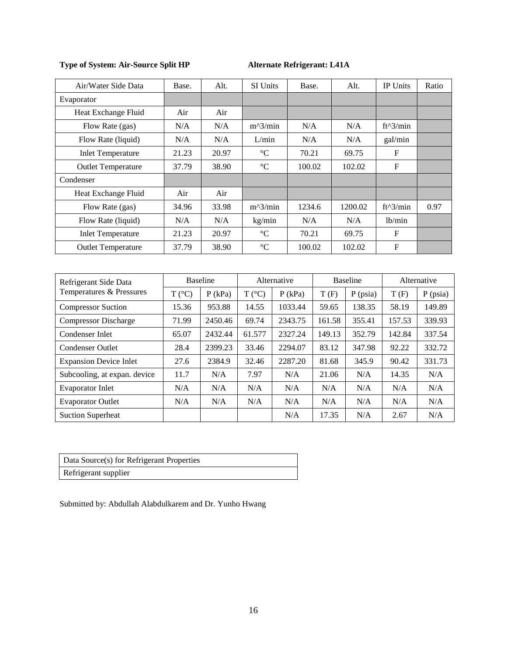| Air/Water Side Data       | Base. | Alt.  | <b>SI Units</b> | Base.  | Alt.    | <b>IP Units</b>     | Ratio |
|---------------------------|-------|-------|-----------------|--------|---------|---------------------|-------|
| Evaporator                |       |       |                 |        |         |                     |       |
| Heat Exchange Fluid       | Air   | Air   |                 |        |         |                     |       |
| Flow Rate (gas)           | N/A   | N/A   | $m^2/$ min      | N/A    | N/A     | $ft^3/min$          |       |
| Flow Rate (liquid)        | N/A   | N/A   | L/min           | N/A    | N/A     | gal/min             |       |
| <b>Inlet Temperature</b>  | 21.23 | 20.97 | $\rm ^{\circ}C$ | 70.21  | 69.75   | $\mathbf{F}$        |       |
| <b>Outlet Temperature</b> | 37.79 | 38.90 | $\rm ^{\circ}C$ | 100.02 | 102.02  | $\mathbf{F}$        |       |
| Condenser                 |       |       |                 |        |         |                     |       |
| Heat Exchange Fluid       | Air   | Air   |                 |        |         |                     |       |
| Flow Rate (gas)           | 34.96 | 33.98 | $m^2/$ min      | 1234.6 | 1200.02 | $ft^3/min$          | 0.97  |
| Flow Rate (liquid)        | N/A   | N/A   | kg/min          | N/A    | N/A     | 1 <sub>b</sub> /min |       |
| <b>Inlet Temperature</b>  | 21.23 | 20.97 | $\rm ^{\circ}C$ | 70.21  | 69.75   | F                   |       |
| <b>Outlet Temperature</b> | 37.79 | 38.90 | $\rm ^{\circ}C$ | 100.02 | 102.02  | F                   |       |

| Refrigerant Side Data         | <b>Baseline</b> |           | Alternative    |           | <b>Baseline</b> |            | Alternative |            |
|-------------------------------|-----------------|-----------|----------------|-----------|-----------------|------------|-------------|------------|
| Temperatures & Pressures      | $T (^{\circ}C)$ | $P$ (kPa) | $T(^{\circ}C)$ | $P$ (kPa) | T(F)            | $P$ (psia) | T(F)        | $P$ (psia) |
| <b>Compressor Suction</b>     | 15.36           | 953.88    | 14.55          | 1033.44   | 59.65           | 138.35     | 58.19       | 149.89     |
| <b>Compressor Discharge</b>   | 71.99           | 2450.46   | 69.74          | 2343.75   | 161.58          | 355.41     | 157.53      | 339.93     |
| Condenser Inlet               | 65.07           | 2432.44   | 61.577         | 2327.24   | 149.13          | 352.79     | 142.84      | 337.54     |
| <b>Condenser Outlet</b>       | 28.4            | 2399.23   | 33.46          | 2294.07   | 83.12           | 347.98     | 92.22       | 332.72     |
| <b>Expansion Device Inlet</b> | 27.6            | 2384.9    | 32.46          | 2287.20   | 81.68           | 345.9      | 90.42       | 331.73     |
| Subcooling, at expan. device  | 11.7            | N/A       | 7.97           | N/A       | 21.06           | N/A        | 14.35       | N/A        |
| <b>Evaporator Inlet</b>       | N/A             | N/A       | N/A            | N/A       | N/A             | N/A        | N/A         | N/A        |
| <b>Evaporator Outlet</b>      | N/A             | N/A       | N/A            | N/A       | N/A             | N/A        | N/A         | N/A        |
| <b>Suction Superheat</b>      |                 |           |                | N/A       | 17.35           | N/A        | 2.67        | N/A        |

| Data Source(s) for Refrigerant Properties |
|-------------------------------------------|
| Refrigerant supplier                      |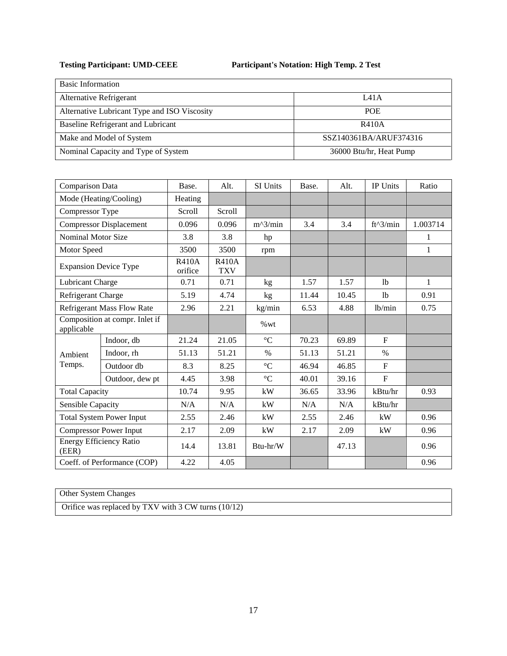| <b>Basic Information</b>                     |                         |
|----------------------------------------------|-------------------------|
| Alternative Refrigerant                      | L41A                    |
| Alternative Lubricant Type and ISO Viscosity | <b>POE</b>              |
| Baseline Refrigerant and Lubricant           | R410A                   |
| Make and Model of System                     | SSZ140361BA/ARUF374316  |
| Nominal Capacity and Type of System          | 36000 Btu/hr, Heat Pump |

| Comparison Data              |                                   | Base.                   | Alt.                       | SI Units        | Base. | Alt.  | IP Units       | Ratio        |
|------------------------------|-----------------------------------|-------------------------|----------------------------|-----------------|-------|-------|----------------|--------------|
|                              | Mode (Heating/Cooling)            | Heating                 |                            |                 |       |       |                |              |
| Compressor Type              |                                   | Scroll                  | Scroll                     |                 |       |       |                |              |
|                              | <b>Compressor Displacement</b>    | 0.096                   | 0.096                      | $m^2/$ min      | 3.4   | 3.4   | $ft^3/min$     | 1.003714     |
| <b>Nominal Motor Size</b>    |                                   | 3.8                     | 3.8                        | hp              |       |       |                | 1            |
| Motor Speed                  |                                   | 3500                    | 3500                       | rpm             |       |       |                | $\mathbf{1}$ |
| <b>Expansion Device Type</b> |                                   | <b>R410A</b><br>orifice | <b>R410A</b><br><b>TXV</b> |                 |       |       |                |              |
| Lubricant Charge             |                                   | 0.71                    | 0.71                       | kg              | 1.57  | 1.57  | 1 <sub>b</sub> | 1            |
| Refrigerant Charge           |                                   | 5.19                    | 4.74                       | kg              | 11.44 | 10.45 | 1 <sub>b</sub> | 0.91         |
|                              | <b>Refrigerant Mass Flow Rate</b> | 2.96                    | 2.21                       | kg/min          | 6.53  | 4.88  | 1b/min         | 0.75         |
| applicable                   | Composition at compr. Inlet if    |                         |                            | %wt             |       |       |                |              |
|                              | Indoor, db                        | 21.24                   | 21.05                      | $^{\circ}C$     | 70.23 | 69.89 | F              |              |
| Ambient                      | Indoor, rh                        | 51.13                   | 51.21                      | $\%$            | 51.13 | 51.21 | $\%$           |              |
| Temps.                       | Outdoor db                        | 8.3                     | 8.25                       | $\rm ^{\circ}C$ | 46.94 | 46.85 | $\mathbf F$    |              |
|                              | Outdoor, dew pt                   | 4.45                    | 3.98                       | $\rm ^{\circ}C$ | 40.01 | 39.16 | $\mathbf F$    |              |
| <b>Total Capacity</b>        |                                   | 10.74                   | 9.95                       | kW              | 36.65 | 33.96 | kBtu/hr        | 0.93         |
| Sensible Capacity            |                                   | N/A                     | N/A                        | kW              | N/A   | N/A   | kBtu/hr        |              |
|                              | <b>Total System Power Input</b>   | 2.55                    | 2.46                       | kW              | 2.55  | 2.46  | kW             | 0.96         |
|                              | <b>Compressor Power Input</b>     | 2.17                    | 2.09                       | kW              | 2.17  | 2.09  | kW             | 0.96         |
| (EER)                        | <b>Energy Efficiency Ratio</b>    | 14.4                    | 13.81                      | Btu-hr/W        |       | 47.13 |                | 0.96         |
|                              | Coeff. of Performance (COP)       | 4.22                    | 4.05                       |                 |       |       |                | 0.96         |

Other System Changes Orifice was replaced by TXV with 3 CW turns (10/12)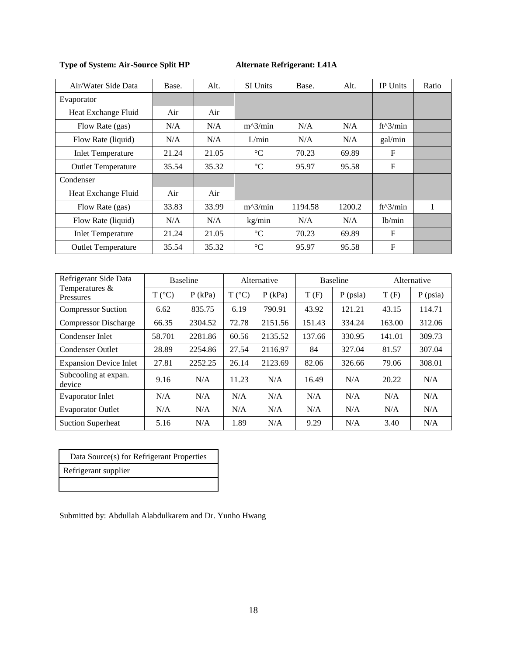| Air/Water Side Data       | Base. | Alt.  | SI Units        | Base.   | Alt.   | <b>IP Units</b> | Ratio |
|---------------------------|-------|-------|-----------------|---------|--------|-----------------|-------|
| Evaporator                |       |       |                 |         |        |                 |       |
| Heat Exchange Fluid       | Air   | Air   |                 |         |        |                 |       |
| Flow Rate (gas)           | N/A   | N/A   | $m^2/$ min      | N/A     | N/A    | $ft^3/min$      |       |
| Flow Rate (liquid)        | N/A   | N/A   | L/min           | N/A     | N/A    | gal/min         |       |
| <b>Inlet Temperature</b>  | 21.24 | 21.05 | $\rm ^{\circ}C$ | 70.23   | 69.89  | $\mathbf{F}$    |       |
| <b>Outlet Temperature</b> | 35.54 | 35.32 | $\rm ^{\circ}C$ | 95.97   | 95.58  | $\mathbf{F}$    |       |
| Condenser                 |       |       |                 |         |        |                 |       |
| Heat Exchange Fluid       | Air   | Air   |                 |         |        |                 |       |
| Flow Rate (gas)           | 33.83 | 33.99 | $m^2/$ min      | 1194.58 | 1200.2 | $ft^{3}/min$    | 1     |
| Flow Rate (liquid)        | N/A   | N/A   | kg/min          | N/A     | N/A    | 1b/min          |       |
| <b>Inlet Temperature</b>  | 21.24 | 21.05 | $^{\circ}C$     | 70.23   | 69.89  | F               |       |
| <b>Outlet Temperature</b> | 35.54 | 35.32 | $\rm ^{\circ}C$ | 95.97   | 95.58  | F               |       |

| Refrigerant Side Data              | <b>Baseline</b> |           | Alternative     |           | <b>Baseline</b> |            | Alternative |            |
|------------------------------------|-----------------|-----------|-----------------|-----------|-----------------|------------|-------------|------------|
| Temperatures &<br><b>Pressures</b> | $T (^{\circ}C)$ | $P$ (kPa) | $T (^{\circ}C)$ | $P$ (kPa) | T(F)            | $P$ (psia) | T(F)        | $P$ (psia) |
| <b>Compressor Suction</b>          | 6.62            | 835.75    | 6.19            | 790.91    | 43.92           | 121.21     | 43.15       | 114.71     |
| <b>Compressor Discharge</b>        | 66.35           | 2304.52   | 72.78           | 2151.56   | 151.43          | 334.24     | 163.00      | 312.06     |
| Condenser Inlet                    | 58.701          | 2281.86   | 60.56           | 2135.52   | 137.66          | 330.95     | 141.01      | 309.73     |
| <b>Condenser Outlet</b>            | 28.89           | 2254.86   | 27.54           | 2116.97   | 84              | 327.04     | 81.57       | 307.04     |
| <b>Expansion Device Inlet</b>      | 27.81           | 2252.25   | 26.14           | 2123.69   | 82.06           | 326.66     | 79.06       | 308.01     |
| Subcooling at expan.<br>device     | 9.16            | N/A       | 11.23           | N/A       | 16.49           | N/A        | 20.22       | N/A        |
| <b>Evaporator Inlet</b>            | N/A             | N/A       | N/A             | N/A       | N/A             | N/A        | N/A         | N/A        |
| <b>Evaporator Outlet</b>           | N/A             | N/A       | N/A             | N/A       | N/A             | N/A        | N/A         | N/A        |
| <b>Suction Superheat</b>           | 5.16            | N/A       | 1.89            | N/A       | 9.29            | N/A        | 3.40        | N/A        |

| Data Source(s) for Refrigerant Properties |
|-------------------------------------------|
| Refrigerant supplier                      |
|                                           |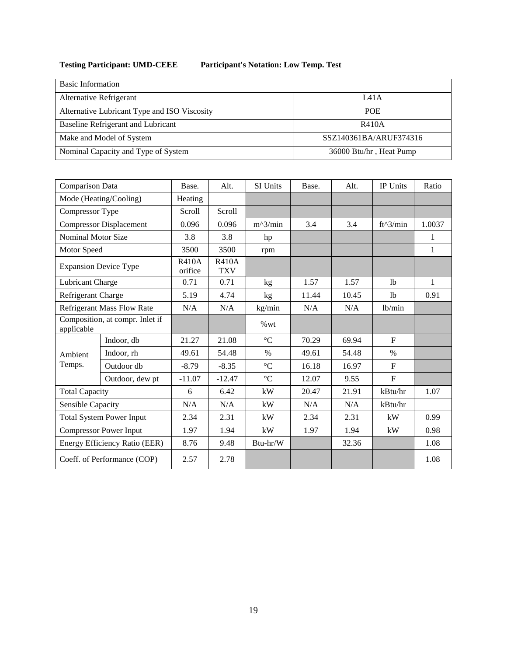# **Testing Participant: UMD-CEEE Participant's Notation: Low Temp. Test**

| <b>Basic Information</b>                     |                         |
|----------------------------------------------|-------------------------|
| Alternative Refrigerant                      | LA1A                    |
| Alternative Lubricant Type and ISO Viscosity | <b>POE</b>              |
| Baseline Refrigerant and Lubricant           | R410A                   |
| Make and Model of System                     | SSZ140361BA/ARUF374316  |
| Nominal Capacity and Type of System          | 36000 Btu/hr, Heat Pump |

| Comparison Data                               |                                | Base.                   | Alt.                       | SI Units        | Base. | Alt.  | IP Units                  | Ratio        |
|-----------------------------------------------|--------------------------------|-------------------------|----------------------------|-----------------|-------|-------|---------------------------|--------------|
| Mode (Heating/Cooling)                        |                                | Heating                 |                            |                 |       |       |                           |              |
| Compressor Type                               |                                | Scroll                  | Scroll                     |                 |       |       |                           |              |
|                                               | <b>Compressor Displacement</b> | 0.096                   | 0.096                      | $m^2/$ min      | 3.4   | 3.4   | $ft^3/min$                | 1.0037       |
| <b>Nominal Motor Size</b>                     |                                | 3.8                     | 3.8                        | hp              |       |       |                           | $\mathbf{1}$ |
| Motor Speed                                   |                                | 3500                    | 3500                       | rpm             |       |       |                           | $\mathbf{1}$ |
|                                               | <b>Expansion Device Type</b>   | <b>R410A</b><br>orifice | <b>R410A</b><br><b>TXV</b> |                 |       |       |                           |              |
| Lubricant Charge                              |                                | 0.71                    | 0.71                       | kg              | 1.57  | 1.57  | 1 <sub>b</sub>            | 1            |
| Refrigerant Charge                            |                                | 5.19                    | 4.74                       | kg              | 11.44 | 10.45 | 1 <sub>b</sub>            | 0.91         |
| <b>Refrigerant Mass Flow Rate</b>             |                                | N/A                     | N/A                        | kg/min          | N/A   | N/A   | lb/min                    |              |
| Composition, at compr. Inlet if<br>applicable |                                |                         |                            | %wt             |       |       |                           |              |
|                                               | Indoor, db                     | 21.27                   | 21.08                      | $\rm ^{\circ}C$ | 70.29 | 69.94 | $\mathbf{F}$              |              |
| Ambient                                       | Indoor, rh                     | 49.61                   | 54.48                      | $\%$            | 49.61 | 54.48 | $\%$                      |              |
| Temps.                                        | Outdoor db                     | $-8.79$                 | $-8.35$                    | $\rm ^{\circ}C$ | 16.18 | 16.97 | $\mathbf{F}$              |              |
|                                               | Outdoor, dew pt                | $-11.07$                | $-12.47$                   | $\rm ^{\circ}C$ | 12.07 | 9.55  | $\boldsymbol{\mathrm{F}}$ |              |
| <b>Total Capacity</b>                         |                                | 6                       | 6.42                       | kW              | 20.47 | 21.91 | kBtu/hr                   | 1.07         |
| Sensible Capacity                             |                                | N/A                     | N/A                        | kW              | N/A   | N/A   | kBtu/hr                   |              |
| <b>Total System Power Input</b>               |                                | 2.34                    | 2.31                       | kW              | 2.34  | 2.31  | kW                        | 0.99         |
| <b>Compressor Power Input</b>                 |                                | 1.97                    | 1.94                       | kW              | 1.97  | 1.94  | kW                        | 0.98         |
| Energy Efficiency Ratio (EER)                 |                                | 8.76                    | 9.48                       | Btu-hr/W        |       | 32.36 |                           | 1.08         |
|                                               | Coeff. of Performance (COP)    | 2.57                    | 2.78                       |                 |       |       |                           | 1.08         |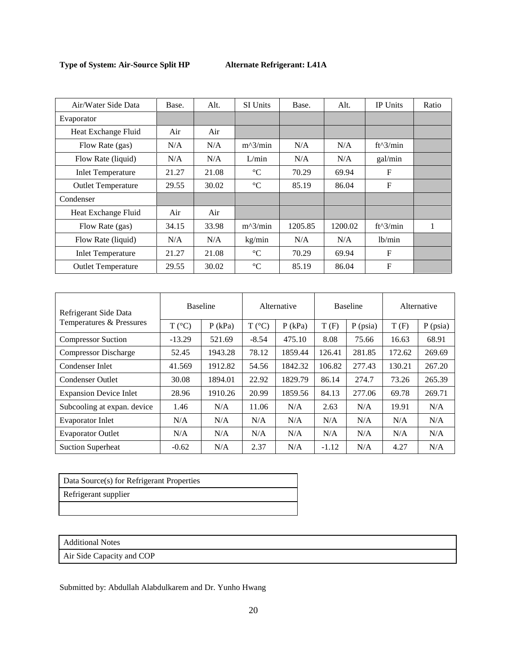| Air/Water Side Data       | Base. | Alt.  | <b>SI Units</b> | Base.   | Alt.    | IP Units   | Ratio |
|---------------------------|-------|-------|-----------------|---------|---------|------------|-------|
| Evaporator                |       |       |                 |         |         |            |       |
| Heat Exchange Fluid       | Air   | Air   |                 |         |         |            |       |
| Flow Rate (gas)           | N/A   | N/A   | $m^2/$ min      | N/A     | N/A     | ft^3/min   |       |
| Flow Rate (liquid)        | N/A   | N/A   | L/min           | N/A     | N/A     | gal/min    |       |
| <b>Inlet Temperature</b>  | 21.27 | 21.08 | $\rm ^{\circ}C$ | 70.29   | 69.94   | F          |       |
| <b>Outlet Temperature</b> | 29.55 | 30.02 | $\rm ^{\circ}C$ | 85.19   | 86.04   | F          |       |
| Condenser                 |       |       |                 |         |         |            |       |
| Heat Exchange Fluid       | Air   | Air   |                 |         |         |            |       |
| Flow Rate (gas)           | 34.15 | 33.98 | $m^2/$ min      | 1205.85 | 1200.02 | $ft^3/min$ |       |
| Flow Rate (liquid)        | N/A   | N/A   | kg/min          | N/A     | N/A     | lb/min     |       |
| <b>Inlet Temperature</b>  | 21.27 | 21.08 | $\rm ^{\circ}C$ | 70.29   | 69.94   | F          |       |
| <b>Outlet Temperature</b> | 29.55 | 30.02 | $\rm ^{\circ}C$ | 85.19   | 86.04   | F          |       |

| Refrigerant Side Data         | <b>Baseline</b> |           | Alternative     |           | <b>Baseline</b> |            | Alternative |            |
|-------------------------------|-----------------|-----------|-----------------|-----------|-----------------|------------|-------------|------------|
| Temperatures & Pressures      | $T (^{\circ}C)$ | $P$ (kPa) | $T (^{\circ}C)$ | $P$ (kPa) | T(F)            | $P$ (psia) | T(F)        | $P$ (psia) |
| <b>Compressor Suction</b>     | $-13.29$        | 521.69    | $-8.54$         | 475.10    | 8.08            | 75.66      | 16.63       | 68.91      |
| <b>Compressor Discharge</b>   | 52.45           | 1943.28   | 78.12           | 1859.44   | 126.41          | 281.85     | 172.62      | 269.69     |
| Condenser Inlet               | 41.569          | 1912.82   | 54.56           | 1842.32   | 106.82          | 277.43     | 130.21      | 267.20     |
| <b>Condenser Outlet</b>       | 30.08           | 1894.01   | 22.92           | 1829.79   | 86.14           | 274.7      | 73.26       | 265.39     |
| <b>Expansion Device Inlet</b> | 28.96           | 1910.26   | 20.99           | 1859.56   | 84.13           | 277.06     | 69.78       | 269.71     |
| Subcooling at expan. device   | 1.46            | N/A       | 11.06           | N/A       | 2.63            | N/A        | 19.91       | N/A        |
| <b>Evaporator Inlet</b>       | N/A             | N/A       | N/A             | N/A       | N/A             | N/A        | N/A         | N/A        |
| <b>Evaporator Outlet</b>      | N/A             | N/A       | N/A             | N/A       | N/A             | N/A        | N/A         | N/A        |
| <b>Suction Superheat</b>      | $-0.62$         | N/A       | 2.37            | N/A       | $-1.12$         | N/A        | 4.27        | N/A        |

| Data Source(s) for Refrigerant Properties |
|-------------------------------------------|
| Refrigerant supplier                      |
|                                           |

Additional Notes

Air Side Capacity and COP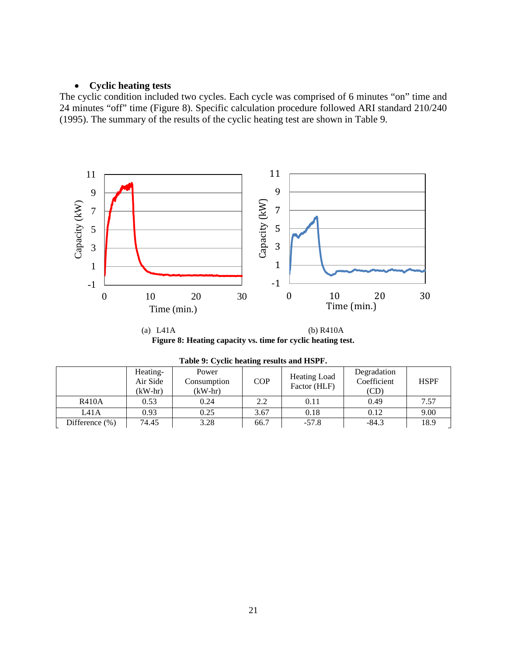# • **Cyclic heating tests**

The cyclic condition included two cycles. Each cycle was comprised of 6 minutes "on" time and 24 minutes "off" time (Figure 8). Specific calculation procedure followed ARI standard 210/240 (1995). The summary of the results of the cyclic heating test are shown in Table 9.



(a) L41A (b) R410A **Figure 8: Heating capacity vs. time for cyclic heating test.**

| 1000               |                                   |                                   |            |                              |                                    |             |  |  |  |
|--------------------|-----------------------------------|-----------------------------------|------------|------------------------------|------------------------------------|-------------|--|--|--|
|                    | Heating-<br>Air Side<br>$(kW-hr)$ | Power<br>Consumption<br>$(kW-hr)$ | <b>COP</b> | Heating Load<br>Factor (HLF) | Degradation<br>Coefficient<br>(CD) | <b>HSPF</b> |  |  |  |
| <b>R410A</b>       | 0.53                              | 0.24                              | 2.2        | 0.11                         | 0.49                               | 7.57        |  |  |  |
| L41A               | 0.93                              | 0.25                              | 3.67       | 0.18                         | 0.12                               | 9.00        |  |  |  |
| Difference $(\% )$ | 74.45                             | 3.28                              | 66.7       | $-57.8$                      | $-84.3$                            | 18.9        |  |  |  |

| Table 9: Cyclic heating results and HSPF. |  |  |  |  |  |
|-------------------------------------------|--|--|--|--|--|
|-------------------------------------------|--|--|--|--|--|